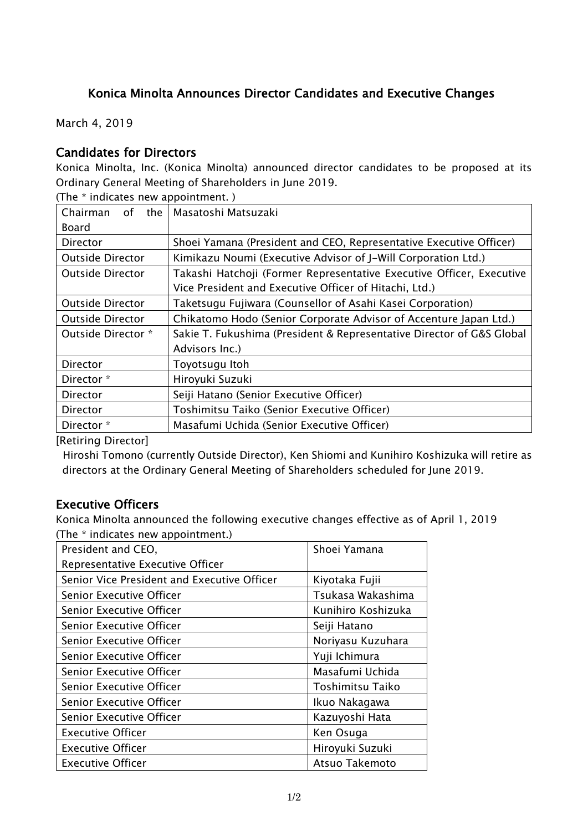## Konica Minolta Announces Director Candidates and Executive Changes

March 4, 2019

### Candidates for Directors

Konica Minolta, Inc. (Konica Minolta) announced director candidates to be proposed at its Ordinary General Meeting of Shareholders in June 2019.

(The \* indicates new appointment. )

| Chairman<br>0f                                         | the   Masatoshi Matsuzaki                                             |  |
|--------------------------------------------------------|-----------------------------------------------------------------------|--|
| Board                                                  |                                                                       |  |
| Director                                               | Shoei Yamana (President and CEO, Representative Executive Officer)    |  |
| <b>Outside Director</b>                                | Kimikazu Noumi (Executive Advisor of J-Will Corporation Ltd.)         |  |
| <b>Outside Director</b>                                | Takashi Hatchoji (Former Representative Executive Officer, Executive  |  |
| Vice President and Executive Officer of Hitachi, Ltd.) |                                                                       |  |
| <b>Outside Director</b>                                | Taketsugu Fujiwara (Counsellor of Asahi Kasei Corporation)            |  |
| <b>Outside Director</b>                                | Chikatomo Hodo (Senior Corporate Advisor of Accenture Japan Ltd.)     |  |
| Outside Director *                                     | Sakie T. Fukushima (President & Representative Director of G&S Global |  |
|                                                        | Advisors Inc.)                                                        |  |
| Director                                               | Toyotsugu Itoh                                                        |  |
| Director *                                             | Hiroyuki Suzuki                                                       |  |
| Director                                               | Seiji Hatano (Senior Executive Officer)                               |  |
| Director                                               | Toshimitsu Taiko (Senior Executive Officer)                           |  |
| Director *                                             | Masafumi Uchida (Senior Executive Officer)                            |  |

[Retiring Director]

Hiroshi Tomono (currently Outside Director), Ken Shiomi and Kunihiro Koshizuka will retire as directors at the Ordinary General Meeting of Shareholders scheduled for June 2019.

#### Executive Officers

Konica Minolta announced the following executive changes effective as of April 1, 2019 (The \* indicates new appointment.)

| President and CEO,                          | Shoei Yamana       |
|---------------------------------------------|--------------------|
| Representative Executive Officer            |                    |
| Senior Vice President and Executive Officer | Kiyotaka Fujii     |
| Senior Executive Officer                    | Tsukasa Wakashima  |
| <b>Senior Executive Officer</b>             | Kunihiro Koshizuka |
| Senior Executive Officer                    | Seiji Hatano       |
| Senior Executive Officer                    | Noriyasu Kuzuhara  |
| Senior Executive Officer                    | Yuji Ichimura      |
| Senior Executive Officer                    | Masafumi Uchida    |
| Senior Executive Officer                    | Toshimitsu Taiko   |
| Senior Executive Officer                    | Ikuo Nakagawa      |
| Senior Executive Officer                    | Kazuyoshi Hata     |
| <b>Executive Officer</b>                    | Ken Osuga          |
| <b>Executive Officer</b>                    | Hiroyuki Suzuki    |
| <b>Executive Officer</b>                    | Atsuo Takemoto     |